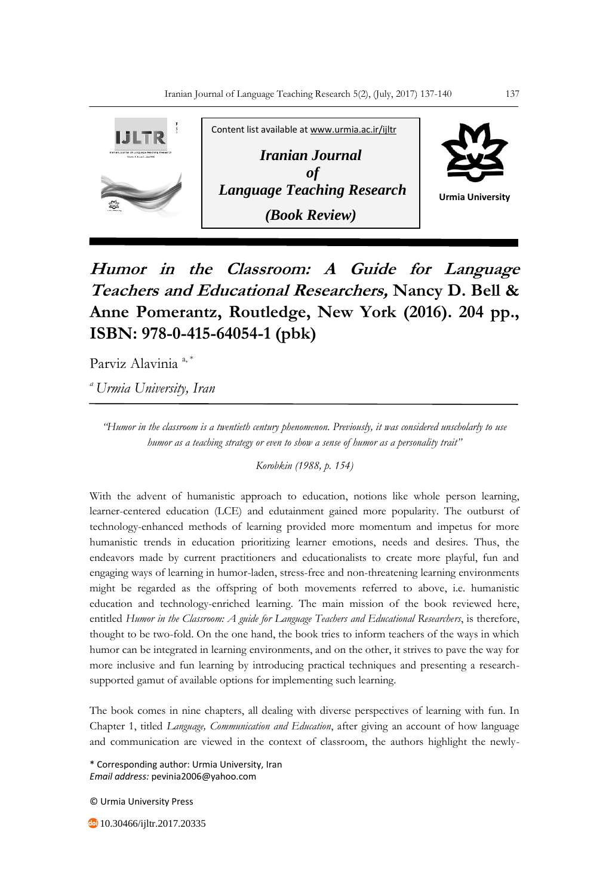

## **Humor in the Classroom: A Guide for Language Teachers and Educational Researchers, Nancy D. Bell & Anne Pomerantz, Routledge, New York (2016). 204 pp., ISBN: 978-0-415-64054-1 (pbk)**

Parviz Alavinia<sup>a,\*</sup>

*<sup>a</sup>Urmia University, Iran*

*"Humor in the classroom is a twentieth century phenomenon. Previously, it was considered unscholarly to use humor as a teaching strategy or even to show a sense of humor as a personality trait"* 

*Korobkin (1988, p. 154)*

With the advent of humanistic approach to education, notions like whole person learning, learner-centered education (LCE) and edutainment gained more popularity. The outburst of technology-enhanced methods of learning provided more momentum and impetus for more humanistic trends in education prioritizing learner emotions, needs and desires. Thus, the endeavors made by current practitioners and educationalists to create more playful, fun and engaging ways of learning in humor-laden, stress-free and non-threatening learning environments might be regarded as the offspring of both movements referred to above, i.e. humanistic education and technology-enriched learning. The main mission of the book reviewed here, entitled *Humor in the Classroom: A guide for Language Teachers and Educational Researchers*, is therefore, thought to be two-fold. On the one hand, the book tries to inform teachers of the ways in which humor can be integrated in learning environments, and on the other, it strives to pave the way for more inclusive and fun learning by introducing practical techniques and presenting a researchsupported gamut of available options for implementing such learning.

The book comes in nine chapters, all dealing with diverse perspectives of learning with fun. In Chapter 1, titled *Language, Communication and Education*, after giving an account of how language and communication are viewed in the context of classroom, the authors highlight the newly-

\* Corresponding author: Urmia University, Iran *Email address:* pevinia2006@yahoo.com

© Urmia University Press

**10.30466/ijltr.2017.20335**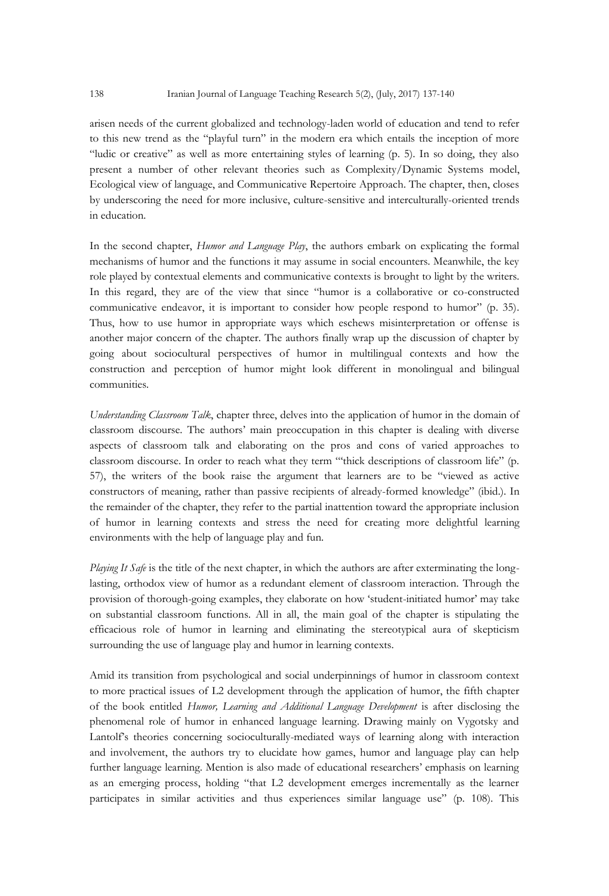arisen needs of the current globalized and technology-laden world of education and tend to refer to this new trend as the "playful turn" in the modern era which entails the inception of more "ludic or creative" as well as more entertaining styles of learning (p. 5). In so doing, they also present a number of other relevant theories such as Complexity/Dynamic Systems model, Ecological view of language, and Communicative Repertoire Approach. The chapter, then, closes by underscoring the need for more inclusive, culture-sensitive and interculturally-oriented trends in education.

In the second chapter, *Humor and Language Play*, the authors embark on explicating the formal mechanisms of humor and the functions it may assume in social encounters. Meanwhile, the key role played by contextual elements and communicative contexts is brought to light by the writers. In this regard, they are of the view that since "humor is a collaborative or co-constructed communicative endeavor, it is important to consider how people respond to humor" (p. 35). Thus, how to use humor in appropriate ways which eschews misinterpretation or offense is another major concern of the chapter. The authors finally wrap up the discussion of chapter by going about sociocultural perspectives of humor in multilingual contexts and how the construction and perception of humor might look different in monolingual and bilingual communities.

*Understanding Classroom Talk*, chapter three, delves into the application of humor in the domain of classroom discourse. The authors' main preoccupation in this chapter is dealing with diverse aspects of classroom talk and elaborating on the pros and cons of varied approaches to classroom discourse. In order to reach what they term "'thick descriptions of classroom life" (p. 57), the writers of the book raise the argument that learners are to be "viewed as active constructors of meaning, rather than passive recipients of already-formed knowledge" (ibid.). In the remainder of the chapter, they refer to the partial inattention toward the appropriate inclusion of humor in learning contexts and stress the need for creating more delightful learning environments with the help of language play and fun.

*Playing It Safe* is the title of the next chapter, in which the authors are after exterminating the longlasting, orthodox view of humor as a redundant element of classroom interaction. Through the provision of thorough-going examples, they elaborate on how 'student-initiated humor' may take on substantial classroom functions. All in all, the main goal of the chapter is stipulating the efficacious role of humor in learning and eliminating the stereotypical aura of skepticism surrounding the use of language play and humor in learning contexts.

Amid its transition from psychological and social underpinnings of humor in classroom context to more practical issues of L2 development through the application of humor, the fifth chapter of the book entitled *Humor, Learning and Additional Language Development* is after disclosing the phenomenal role of humor in enhanced language learning. Drawing mainly on Vygotsky and Lantolf's theories concerning socioculturally-mediated ways of learning along with interaction and involvement, the authors try to elucidate how games, humor and language play can help further language learning. Mention is also made of educational researchers' emphasis on learning as an emerging process, holding "that L2 development emerges incrementally as the learner participates in similar activities and thus experiences similar language use" (p. 108). This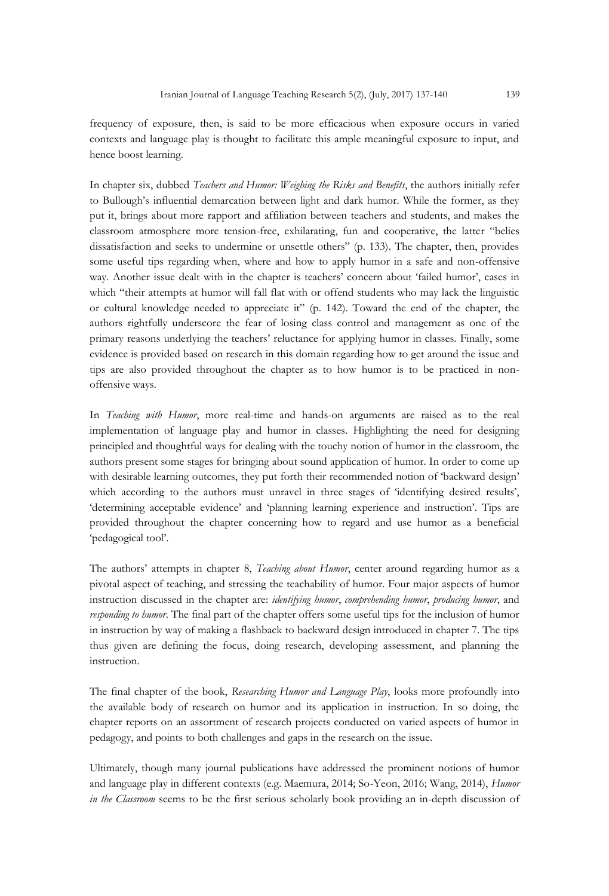frequency of exposure, then, is said to be more efficacious when exposure occurs in varied contexts and language play is thought to facilitate this ample meaningful exposure to input, and hence boost learning.

In chapter six, dubbed *Teachers and Humor: Weighing the Risks and Benefits*, the authors initially refer to Bullough's influential demarcation between light and dark humor. While the former, as they put it, brings about more rapport and affiliation between teachers and students, and makes the classroom atmosphere more tension-free, exhilarating, fun and cooperative, the latter "belies dissatisfaction and seeks to undermine or unsettle others" (p. 133). The chapter, then, provides some useful tips regarding when, where and how to apply humor in a safe and non-offensive way. Another issue dealt with in the chapter is teachers' concern about 'failed humor', cases in which "their attempts at humor will fall flat with or offend students who may lack the linguistic or cultural knowledge needed to appreciate it" (p. 142). Toward the end of the chapter, the authors rightfully underscore the fear of losing class control and management as one of the primary reasons underlying the teachers' reluctance for applying humor in classes. Finally, some evidence is provided based on research in this domain regarding how to get around the issue and tips are also provided throughout the chapter as to how humor is to be practiced in nonoffensive ways.

In *Teaching with Humor*, more real-time and hands-on arguments are raised as to the real implementation of language play and humor in classes. Highlighting the need for designing principled and thoughtful ways for dealing with the touchy notion of humor in the classroom, the authors present some stages for bringing about sound application of humor. In order to come up with desirable learning outcomes, they put forth their recommended notion of 'backward design' which according to the authors must unravel in three stages of 'identifying desired results', 'determining acceptable evidence' and 'planning learning experience and instruction'. Tips are provided throughout the chapter concerning how to regard and use humor as a beneficial 'pedagogical tool'.

The authors' attempts in chapter 8, *Teaching about Humor*, center around regarding humor as a pivotal aspect of teaching, and stressing the teachability of humor. Four major aspects of humor instruction discussed in the chapter are: *identifying humor*, *comprehending humor*, *producing humor*, and *responding to humor*. The final part of the chapter offers some useful tips for the inclusion of humor in instruction by way of making a flashback to backward design introduced in chapter 7. The tips thus given are defining the focus, doing research, developing assessment, and planning the instruction.

The final chapter of the book, *Researching Humor and Language Play*, looks more profoundly into the available body of research on humor and its application in instruction. In so doing, the chapter reports on an assortment of research projects conducted on varied aspects of humor in pedagogy, and points to both challenges and gaps in the research on the issue.

Ultimately, though many journal publications have addressed the prominent notions of humor and language play in different contexts (e.g. Maemura, 2014; So-Yeon, 2016; Wang, 2014), *Humor in the Classroom* seems to be the first serious scholarly book providing an in-depth discussion of